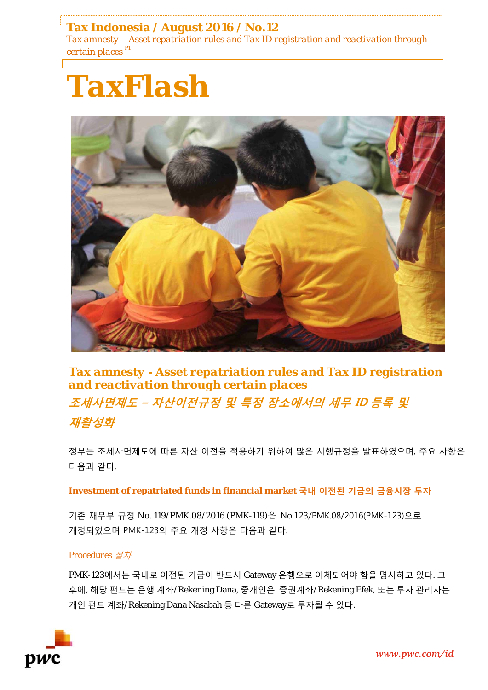# **Tax Indonesia / August 2016 / No.12**

*Tax amnesty – Asset repatriation rules and Tax ID registration and reactivation through certain places P1*





*Tax amnesty - Asset repatriation rules and Tax ID registration and reactivation through certain places*  **조세사면제도 – 자산이전규정 및 특정 장소에서의 세무 ID 등록 및 재활성화**

정부는 조세사면제도에 따른 자산 이전을 적용하기 위하여 많은 시행규정을 발표하였으며, 주요 사항은 다음과 같다.

### **Investment of repatriated funds in financial market 국내 이전된 기금의 금융시장 투자**

기존 재무부 규정 No. 119/PMK.08/2016 (PMK-119)은 No.123/PMK.08/2016(PMK-123)으로 개정되었으며 PMK-123의 주요 개정 사항은 다음과 같다.

### *Procedures* 절차

PMK-123에서는 국내로 이전된 기금이 반드시 Gateway 은행으로 이체되어야 함을 명시하고 있다. 그 후에, 해당 펀드는 은행 계좌/Rekening Dana, 중개인은 증권계좌/Rekening Efek, 또는 투자 관리자는 개인 펀드 계좌/Rekening Dana Nasabah 등 다른 Gateway로 투자될 수 있다.

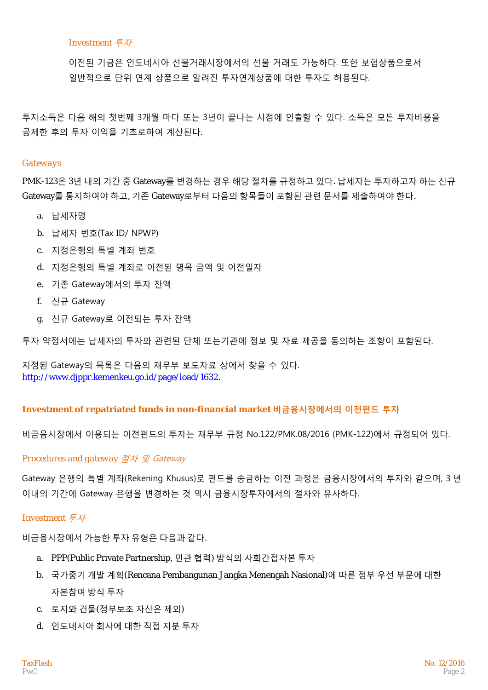### *Investment* 투자

이전된 기금은 인도네시아 선물거래시장에서의 선물 거래도 가능하다. 또한 보험상품으로서 일반적으로 단위 연계 상품으로 알려진 투자연계상품에 대한 투자도 허용된다.

투자소득은 다음 해의 첫번째 3개월 마다 또는 3년이 끝나는 시점에 인출할 수 있다. 소득은 모든 투자비용을 공제한 후의 투자 이익을 기초로하여 계산된다.

#### *Gateways*

PMK-123은 3년 내의 기간 중 Gateway를 변경하는 경우 해당 절차를 규정하고 있다. 납세자는 투자하고자 하는 신규 Gateway를 통지하여야 하고, 기존 Gateway로부터 다음의 항목들이 포함된 관련 문서를 제출하여야 한다.

- a. 납세자명
- b. 납세자 번호(Tax ID/ NPWP)
- c. 지정은행의 특별 계좌 번호
- d. 지정은행의 특별 계좌로 이전된 명목 금액 및 이전일자
- e. 기존 Gateway에서의 투자 잔액
- f. 신규 Gateway
- g. 신규 Gateway로 이전되는 투자 잔액

투자 약정서에는 납세자의 투자와 관련된 단체 또는기관에 정보 및 자료 제공을 동의하는 조항이 포함된다.

지정된 Gateway의 목록은 다음의 재무부 보도자료 상에서 찾을 수 있다. http://www.djppr.kemenkeu.go.id/page/load/1632.

## **Investment of repatriated funds in non-financial market 비금융시장에서의 이전펀드 투자**

비금융시장에서 이용되는 이전펀드의 투자는 재무부 규정 No.122/PMK.08/2016 (PMK-122)에서 규정되어 있다.

## *Procedures and gateway* 절차 및 Gateway

Gateway 은행의 특별 계좌(Rekening Khusus)로 펀드를 송금하는 이전 과정은 금융시장에서의 투자와 같으며, 3 년 이내의 기간에 Gateway 은행을 변경하는 것 역시 금융시장투자에서의 절차와 유사하다.

## *Investment* 투자

비금융시장에서 가능한 투자 유형은 다음과 같다.

- a. PPP(Public Private Partnership, 민관 협력) 방식의 사회간접자본 투자
- b. 국가중기 개발 계획(Rencana Pembangunan Jangka Menengah Nasional)에 따른 정부 우선 부문에 대한 자본참여 방식 투자
- c. 토지와 건물(정부보조 자산은 제외)
- d. 인도네시아 회사에 대한 직접 지분 투자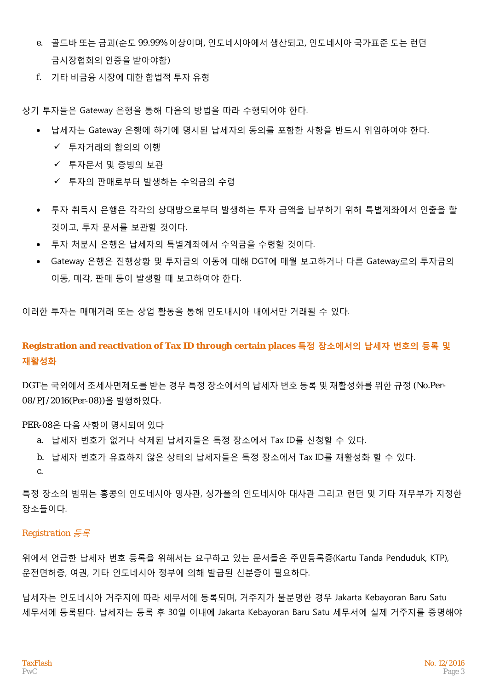- e. 골드바 또는 금괴(순도 99.99% 이상이며, 인도네시아에서 생산되고, 인도네시아 국가표준 도는 런던 금시장협회의 인증을 받아야함)
- f. 기타 비금융 시장에 대한 합법적 투자 유형

상기 투자들은 Gateway 은행을 통해 다음의 방법을 따라 수행되어야 한다.

- 납세자는 Gateway 은행에 하기에 명시된 납세자의 동의를 포함한 사항을 반드시 위임하여야 한다.
	- 투자거래의 합의의 이행
	- ✔ 투자문서 및 증빙의 보관
	- ✔ 투자의 판매로부터 발생하는 수익금의 수령
- 투자 취득시 은행은 각각의 상대방으로부터 발생하는 투자 금액을 납부하기 위해 특별계좌에서 인출을 할 것이고, 투자 문서를 보관할 것이다.
- 투자 처분시 은행은 납세자의 특별계좌에서 수익금을 수령할 것이다.
- Gateway 은행은 진행상황 및 투자금의 이동에 대해 DGT에 매월 보고하거나 다른 Gateway로의 투자금의 이동, 매각, 판매 등이 발생할 때 보고하여야 한다.

이러한 투자는 매매거래 또는 상업 활동을 통해 인도내시아 내에서만 거래될 수 있다.

**Registration and reactivation of Tax ID through certain places 특정 장소에서의 납세자 번호의 등록 및 재활성화**

DGT는 국외에서 조세사면제도를 받는 경우 특정 장소에서의 납세자 번호 등록 및 재활성화를 위한 규정 (No.Per-08/PJ/2016(Per-08))을 발행하였다.

#### PER-08은 다음 사항이 명시되어 있다

- a. 납세자 번호가 없거나 삭제된 납세자들은 특정 장소에서 Tax ID를 신청할 수 있다.
- b. 납세자 번호가 유효하지 않은 상태의 납세자들은 특정 장소에서 Tax ID를 재활성화 할 수 있다. c.

특정 장소의 범위는 홍콩의 인도네시아 영사관, 싱가폴의 인도네시아 대사관 그리고 런던 및 기타 재무부가 지정한 장소들이다.

#### *Registration* 등록

위에서 언급한 납세자 번호 등록을 위해서는 요구하고 있는 문서들은 주민등록증(Kartu Tanda Penduduk, KTP), 운전면허증, 여권, 기타 인도네시아 정부에 의해 발급된 신분증이 필요하다.

납세자는 인도네시아 거주지에 따라 세무서에 등록되며, 거주지가 불분명한 경우 Jakarta Kebayoran Baru Satu 세무서에 등록된다. 납세자는 등록 후 30일 이내에 Jakarta Kebayoran Baru Satu 세무서에 실제 거주지를 증명해야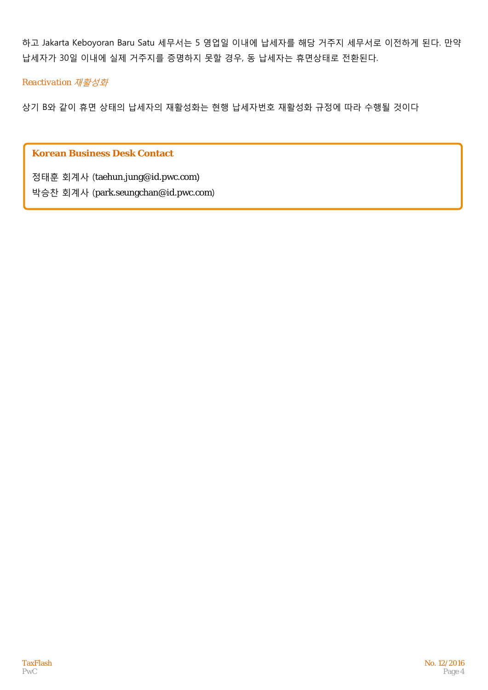하고 Jakarta Keboyoran Baru Satu 세무서는 5 영업일 이내에 납세자를 해당 거주지 세무서로 이전하게 된다. 만약 납세자가 30일 이내에 실제 거주지를 증명하지 못할 경우, 동 납세자는 휴면상태로 전환된다.

### *Reactivation* 재활성화

상기 B와 같이 휴면 상태의 납세자의 재활성화는 현행 납세자번호 재활성화 규정에 따라 수행될 것이다

## **Korean Business Desk Contact**

정태훈 회계사 (taehun.jung@id.pwc.com)

박승찬 회계사 (park.seungchan@id.pwc.com)